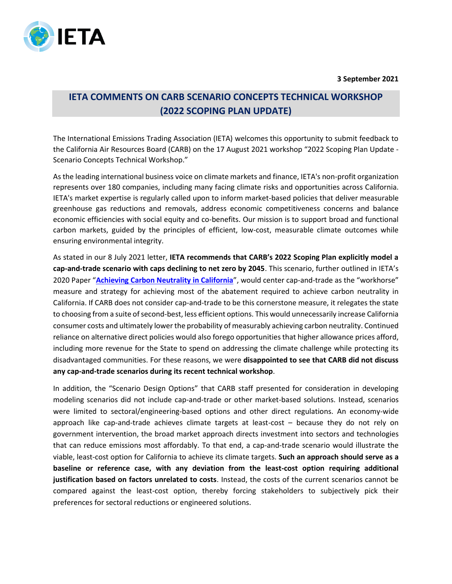

**3 September 2021**

## **IETA COMMENTS ON CARB SCENARIO CONCEPTS TECHNICAL WORKSHOP (2022 SCOPING PLAN UPDATE)**

The International Emissions Trading Association (IETA) welcomes this opportunity to submit feedback to the California Air Resources Board (CARB) on the 17 August 2021 workshop "2022 Scoping Plan Update - Scenario Concepts Technical Workshop."

As the leading international business voice on climate markets and finance, IETA's non-profit organization represents over 180 companies, including many facing climate risks and opportunities across California. IETA's market expertise is regularly called upon to inform market-based policies that deliver measurable greenhouse gas reductions and removals, address economic competitiveness concerns and balance economic efficiencies with social equity and co-benefits. Our mission is to support broad and functional carbon markets, guided by the principles of efficient, low-cost, measurable climate outcomes while ensuring environmental integrity.

As stated in our 8 July 2021 letter, **IETA recommends that CARB's 2022 Scoping Plan explicitly model a cap-and-trade scenario with caps declining to net zero by 2045**. This scenario, further outlined in IETA's 2020 Paper "**[Achieving Carbon Neutrality in California](https://www.ieta.org/resources/California/2020/IETA%20Net%20Zero%20California%20Paper-Nov2020.pdf)**", would center cap-and-trade as the "workhorse" measure and strategy for achieving most of the abatement required to achieve carbon neutrality in California. If CARB does not consider cap-and-trade to be this cornerstone measure, it relegates the state to choosing from a suite of second-best, less efficient options. This would unnecessarily increase California consumer costs and ultimately lower the probability of measurably achieving carbon neutrality. Continued reliance on alternative direct policies would also forego opportunitiesthat higher allowance prices afford, including more revenue for the State to spend on addressing the climate challenge while protecting its disadvantaged communities. For these reasons, we were **disappointed to see that CARB did not discuss any cap-and-trade scenarios during its recent technical workshop**.

In addition, the "Scenario Design Options" that CARB staff presented for consideration in developing modeling scenarios did not include cap-and-trade or other market-based solutions. Instead, scenarios were limited to sectoral/engineering-based options and other direct regulations. An economy-wide approach like cap-and-trade achieves climate targets at least-cost – because they do not rely on government intervention, the broad market approach directs investment into sectors and technologies that can reduce emissions most affordably. To that end, a cap-and-trade scenario would illustrate the viable, least-cost option for California to achieve its climate targets. **Such an approach should serve as a baseline or reference case, with any deviation from the least-cost option requiring additional justification based on factors unrelated to costs**. Instead, the costs of the current scenarios cannot be compared against the least-cost option, thereby forcing stakeholders to subjectively pick their preferences for sectoral reductions or engineered solutions.